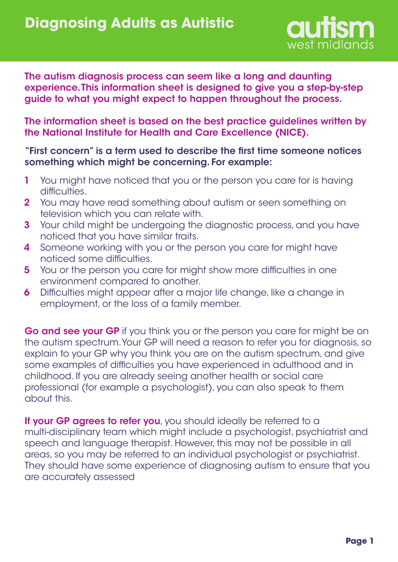

The autism diagnosis process can seem like a long and daunting experience. This information sheet is designed to give you a step-by-step guide to what you might expect to happen throughout the process.

The information sheet is based on the best practice guidelines written by the National Institute for Health and Care Excellence (NICE).

#### "First concern" is a term used to describe the first time someone notices something which might be concerning. For example:

- You might have noticed that you or the person you care for is having difficulties. 1
- You may have read something about autism or seen something on television which you can relate with. 2
- Your child might be undergoing the diagnostic process, and you have noticed that you have similar traits. 3
- Someone working with you or the person you care for might have noticed some difficulties. 4
- You or the person you care for might show more difficulties in one environment compared to another. 5
- Difficulties might appear after a major life change, like a change in employment, or the loss of a family member. 6

Go and see your GP if you think you or the person you care for might be on the autism spectrum. Your GP will need a reason to refer you for diagnosis, so explain to your GP why you think you are on the autism spectrum, and give some examples of difficulties you have experienced in adulthood and in childhood. If you are already seeing another health or social care professional (for example a psychologist), you can also speak to them about this.

If your GP agrees to refer you, you should ideally be referred to a multi-disciplinary team which might include a psychologist, psychiatrist and speech and language therapist. However, this may not be possible in all areas, so you may be referred to an individual psychologist or psychiatrist. They should have some experience of diagnosing autism to ensure that you are accurately assessed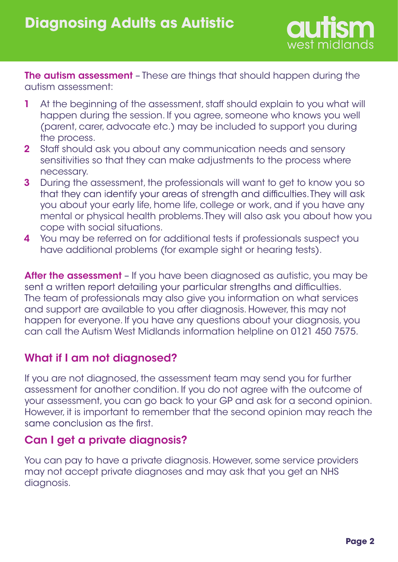

**The autism assessment** - These are things that should happen during the autism assessment:

- At the beginning of the assessment, staff should explain to you what will happen during the session. If you agree, someone who knows you well (parent, carer, advocate etc.) may be included to support you during the process. 1
- Staff should ask you about any communication needs and sensory sensitivities so that they can make adjustments to the process where necessary. 2
- During the assessment, the professionals will want to get to know you so 3 that they can identify your areas of strength and difficulties. They will ask you about your early life, home life, college or work, and if you have any mental or physical health problems.They will also ask you about how you cope with social situations.
- You may be referred on for additional tests if professionals suspect you have additional problems (for example sight or hearing tests). 4

After the assessment - If you have been diagnosed as autistic, you may be sent a written report detailing your particular strengths and difficulties. The team of professionals may also give you information on what services and support are available to you after diagnosis. However, this may not happen for everyone. If you have any questions about your diagnosis, you can call the Autism West Midlands information helpline on 0121 450 7575.

# What if I am not diagnosed?

If you are not diagnosed, the assessment team may send you for further assessment for another condition. If you do not agree with the outcome of your assessment, you can go back to your GP and ask for a second opinion. However, it is important to remember that the second opinion may reach the same conclusion as the first.

# Can I get a private diagnosis?

You can pay to have a private diagnosis. However, some service providers may not accept private diagnoses and may ask that you get an NHS diagnosis.